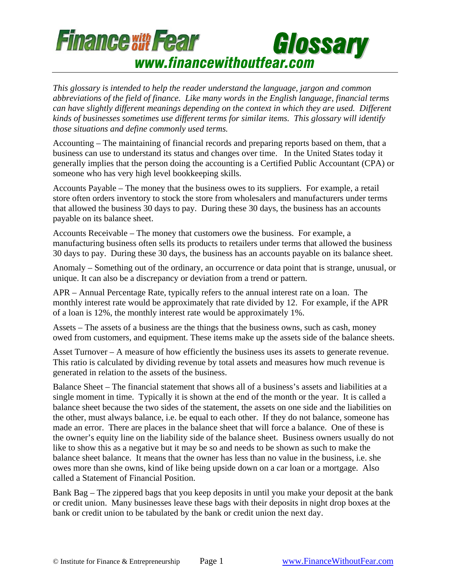

*This glossary is intended to help the reader understand the language, jargon and common abbreviations of the field of finance. Like many words in the English language, financial terms can have slightly different meanings depending on the context in which they are used. Different kinds of businesses sometimes use different terms for similar items. This glossary will identify those situations and define commonly used terms.* 

Accounting – The maintaining of financial records and preparing reports based on them, that a business can use to understand its status and changes over time. In the United States today it generally implies that the person doing the accounting is a Certified Public Accountant (CPA) or someone who has very high level bookkeeping skills.

Accounts Payable – The money that the business owes to its suppliers. For example, a retail store often orders inventory to stock the store from wholesalers and manufacturers under terms that allowed the business 30 days to pay. During these 30 days, the business has an accounts payable on its balance sheet.

Accounts Receivable – The money that customers owe the business. For example, a manufacturing business often sells its products to retailers under terms that allowed the business 30 days to pay. During these 30 days, the business has an accounts payable on its balance sheet.

Anomaly – Something out of the ordinary, an occurrence or data point that is strange, unusual, or unique. It can also be a discrepancy or deviation from a trend or pattern.

APR – Annual Percentage Rate, typically refers to the annual interest rate on a loan. The monthly interest rate would be approximately that rate divided by 12. For example, if the APR of a loan is 12%, the monthly interest rate would be approximately 1%.

Assets – The assets of a business are the things that the business owns, such as cash, money owed from customers, and equipment. These items make up the assets side of the balance sheets.

Asset Turnover – A measure of how efficiently the business uses its assets to generate revenue. This ratio is calculated by dividing revenue by total assets and measures how much revenue is generated in relation to the assets of the business.

Balance Sheet – The financial statement that shows all of a business's assets and liabilities at a single moment in time. Typically it is shown at the end of the month or the year. It is called a balance sheet because the two sides of the statement, the assets on one side and the liabilities on the other, must always balance, i.e. be equal to each other. If they do not balance, someone has made an error. There are places in the balance sheet that will force a balance. One of these is the owner's equity line on the liability side of the balance sheet. Business owners usually do not like to show this as a negative but it may be so and needs to be shown as such to make the balance sheet balance. It means that the owner has less than no value in the business, i.e. she owes more than she owns, kind of like being upside down on a car loan or a mortgage. Also called a Statement of Financial Position.

Bank Bag – The zippered bags that you keep deposits in until you make your deposit at the bank or credit union. Many businesses leave these bags with their deposits in night drop boxes at the bank or credit union to be tabulated by the bank or credit union the next day.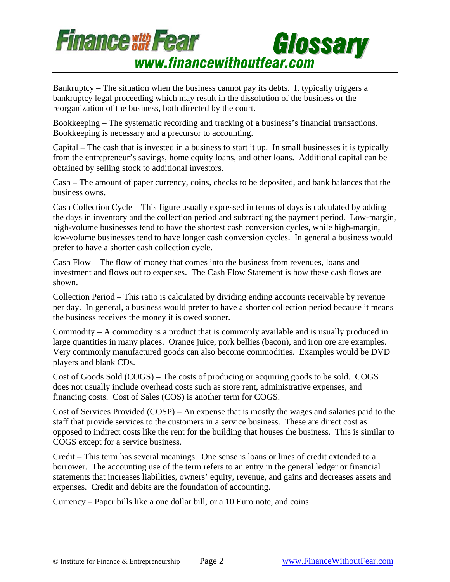

Bankruptcy – The situation when the business cannot pay its debts. It typically triggers a bankruptcy legal proceeding which may result in the dissolution of the business or the reorganization of the business, both directed by the court.

Bookkeeping – The systematic recording and tracking of a business's financial transactions. Bookkeeping is necessary and a precursor to accounting.

Capital – The cash that is invested in a business to start it up. In small businesses it is typically from the entrepreneur's savings, home equity loans, and other loans. Additional capital can be obtained by selling stock to additional investors.

Cash – The amount of paper currency, coins, checks to be deposited, and bank balances that the business owns.

Cash Collection Cycle – This figure usually expressed in terms of days is calculated by adding the days in inventory and the collection period and subtracting the payment period. Low-margin, high-volume businesses tend to have the shortest cash conversion cycles, while high-margin, low-volume businesses tend to have longer cash conversion cycles. In general a business would prefer to have a shorter cash collection cycle.

Cash Flow – The flow of money that comes into the business from revenues, loans and investment and flows out to expenses. The Cash Flow Statement is how these cash flows are shown.

Collection Period – This ratio is calculated by dividing ending accounts receivable by revenue per day. In general, a business would prefer to have a shorter collection period because it means the business receives the money it is owed sooner.

Commodity – A commodity is a product that is commonly available and is usually produced in large quantities in many places. Orange juice, pork bellies (bacon), and iron ore are examples. Very commonly manufactured goods can also become commodities. Examples would be DVD players and blank CDs.

Cost of Goods Sold (COGS) – The costs of producing or acquiring goods to be sold. COGS does not usually include overhead costs such as store rent, administrative expenses, and financing costs. Cost of Sales (COS) is another term for COGS.

Cost of Services Provided (COSP) – An expense that is mostly the wages and salaries paid to the staff that provide services to the customers in a service business. These are direct cost as opposed to indirect costs like the rent for the building that houses the business. This is similar to COGS except for a service business.

Credit – This term has several meanings. One sense is loans or lines of credit extended to a borrower. The accounting use of the term refers to an entry in the general ledger or financial statements that increases liabilities, owners' equity, revenue, and gains and decreases assets and expenses. Credit and debits are the foundation of accounting.

Currency – Paper bills like a one dollar bill, or a 10 Euro note, and coins.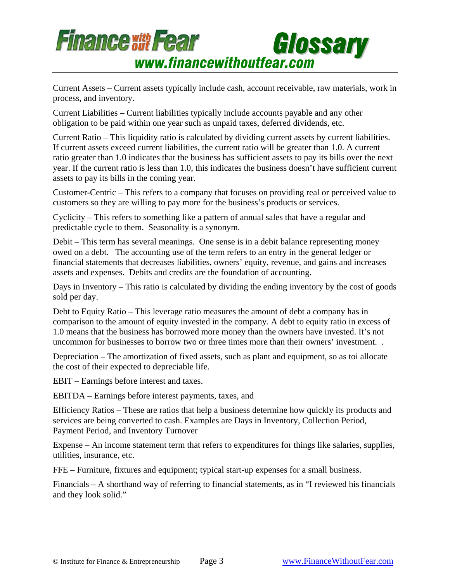

Current Assets – Current assets typically include cash, account receivable, raw materials, work in process, and inventory.

Current Liabilities – Current liabilities typically include accounts payable and any other obligation to be paid within one year such as unpaid taxes, deferred dividends, etc.

Current Ratio – This liquidity ratio is calculated by dividing current assets by current liabilities. If current assets exceed current liabilities, the current ratio will be greater than 1.0. A current ratio greater than 1.0 indicates that the business has sufficient assets to pay its bills over the next year. If the current ratio is less than 1.0, this indicates the business doesn't have sufficient current assets to pay its bills in the coming year.

Customer-Centric – This refers to a company that focuses on providing real or perceived value to customers so they are willing to pay more for the business's products or services.

Cyclicity – This refers to something like a pattern of annual sales that have a regular and predictable cycle to them. Seasonality is a synonym.

Debit – This term has several meanings. One sense is in a debit balance representing money owed on a debt. The accounting use of the term refers to an entry in the general ledger or financial statements that decreases liabilities, owners' equity, revenue, and gains and increases assets and expenses. Debits and credits are the foundation of accounting.

Days in Inventory – This ratio is calculated by dividing the ending inventory by the cost of goods sold per day.

Debt to Equity Ratio – This leverage ratio measures the amount of debt a company has in comparison to the amount of equity invested in the company. A debt to equity ratio in excess of 1.0 means that the business has borrowed more money than the owners have invested. It's not uncommon for businesses to borrow two or three times more than their owners' investment. .

Depreciation – The amortization of fixed assets, such as plant and equipment, so as toi allocate the cost of their expected to depreciable life.

EBIT – Earnings before interest and taxes.

EBITDA – Earnings before interest payments, taxes, and

Efficiency Ratios – These are ratios that help a business determine how quickly its products and services are being converted to cash. Examples are Days in Inventory, Collection Period, Payment Period, and Inventory Turnover

Expense – An income statement term that refers to expenditures for things like salaries, supplies, utilities, insurance, etc.

FFE – Furniture, fixtures and equipment; typical start-up expenses for a small business.

Financials – A shorthand way of referring to financial statements, as in "I reviewed his financials and they look solid."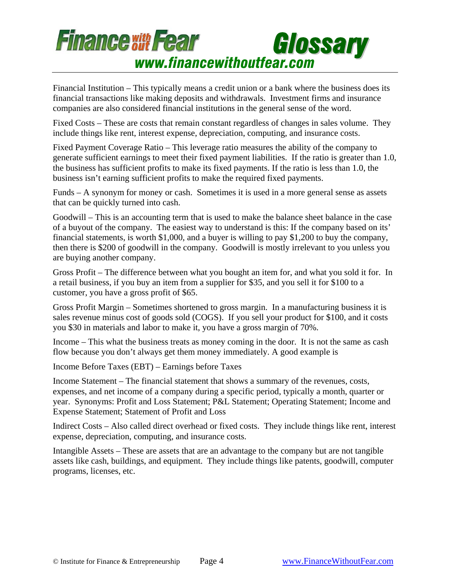

Financial Institution – This typically means a credit union or a bank where the business does its financial transactions like making deposits and withdrawals. Investment firms and insurance companies are also considered financial institutions in the general sense of the word.

Fixed Costs – These are costs that remain constant regardless of changes in sales volume. They include things like rent, interest expense, depreciation, computing, and insurance costs.

Fixed Payment Coverage Ratio – This leverage ratio measures the ability of the company to generate sufficient earnings to meet their fixed payment liabilities. If the ratio is greater than 1.0, the business has sufficient profits to make its fixed payments. If the ratio is less than 1.0, the business isn't earning sufficient profits to make the required fixed payments.

Funds – A synonym for money or cash. Sometimes it is used in a more general sense as assets that can be quickly turned into cash.

Goodwill – This is an accounting term that is used to make the balance sheet balance in the case of a buyout of the company. The easiest way to understand is this: If the company based on its' financial statements, is worth \$1,000, and a buyer is willing to pay \$1,200 to buy the company, then there is \$200 of goodwill in the company. Goodwill is mostly irrelevant to you unless you are buying another company.

Gross Profit – The difference between what you bought an item for, and what you sold it for. In a retail business, if you buy an item from a supplier for \$35, and you sell it for \$100 to a customer, you have a gross profit of \$65.

Gross Profit Margin – Sometimes shortened to gross margin. In a manufacturing business it is sales revenue minus cost of goods sold (COGS). If you sell your product for \$100, and it costs you \$30 in materials and labor to make it, you have a gross margin of 70%.

Income – This what the business treats as money coming in the door. It is not the same as cash flow because you don't always get them money immediately. A good example is

Income Before Taxes (EBT) – Earnings before Taxes

Income Statement – The financial statement that shows a summary of the revenues, costs, expenses, and net income of a company during a specific period, typically a month, quarter or year. Synonyms: Profit and Loss Statement; P&L Statement; Operating Statement; Income and Expense Statement; Statement of Profit and Loss

Indirect Costs – Also called direct overhead or fixed costs. They include things like rent, interest expense, depreciation, computing, and insurance costs.

Intangible Assets – These are assets that are an advantage to the company but are not tangible assets like cash, buildings, and equipment. They include things like patents, goodwill, computer programs, licenses, etc.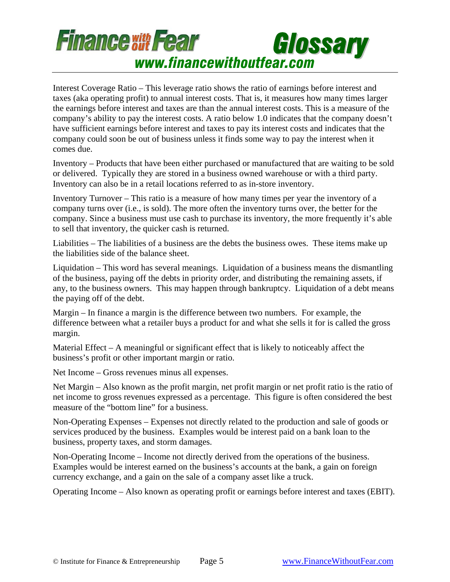

Interest Coverage Ratio – This leverage ratio shows the ratio of earnings before interest and taxes (aka operating profit) to annual interest costs. That is, it measures how many times larger the earnings before interest and taxes are than the annual interest costs. This is a measure of the company's ability to pay the interest costs. A ratio below 1.0 indicates that the company doesn't have sufficient earnings before interest and taxes to pay its interest costs and indicates that the company could soon be out of business unless it finds some way to pay the interest when it comes due.

Inventory – Products that have been either purchased or manufactured that are waiting to be sold or delivered. Typically they are stored in a business owned warehouse or with a third party. Inventory can also be in a retail locations referred to as in-store inventory.

Inventory Turnover – This ratio is a measure of how many times per year the inventory of a company turns over (i.e., is sold). The more often the inventory turns over, the better for the company. Since a business must use cash to purchase its inventory, the more frequently it's able to sell that inventory, the quicker cash is returned.

Liabilities – The liabilities of a business are the debts the business owes. These items make up the liabilities side of the balance sheet.

Liquidation – This word has several meanings. Liquidation of a business means the dismantling of the business, paying off the debts in priority order, and distributing the remaining assets, if any, to the business owners. This may happen through bankruptcy. Liquidation of a debt means the paying off of the debt.

Margin – In finance a margin is the difference between two numbers. For example, the difference between what a retailer buys a product for and what she sells it for is called the gross margin.

Material Effect – A meaningful or significant effect that is likely to noticeably affect the business's profit or other important margin or ratio.

Net Income – Gross revenues minus all expenses.

Net Margin – Also known as the profit margin, net profit margin or net profit ratio is the ratio of net income to gross revenues expressed as a percentage. This figure is often considered the best measure of the "bottom line" for a business.

Non-Operating Expenses – Expenses not directly related to the production and sale of goods or services produced by the business. Examples would be interest paid on a bank loan to the business, property taxes, and storm damages.

Non-Operating Income – Income not directly derived from the operations of the business. Examples would be interest earned on the business's accounts at the bank, a gain on foreign currency exchange, and a gain on the sale of a company asset like a truck.

Operating Income – Also known as operating profit or earnings before interest and taxes (EBIT).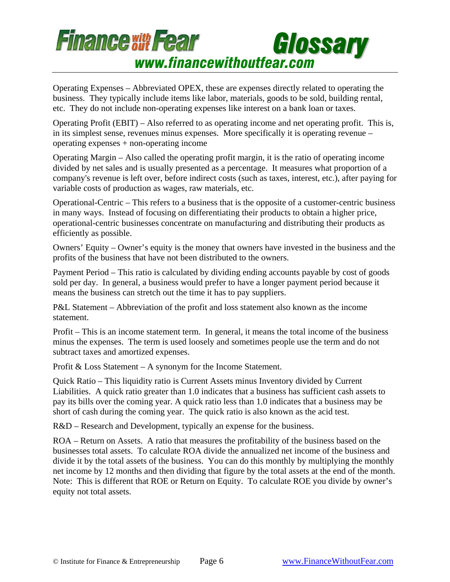

Operating Expenses – Abbreviated OPEX, these are expenses directly related to operating the business. They typically include items like labor, materials, goods to be sold, building rental, etc. They do not include non-operating expenses like interest on a bank loan or taxes.

Operating Profit (EBIT) – Also referred to as operating income and net operating profit. This is, in its simplest sense, revenues minus expenses. More specifically it is operating revenue – operating expenses + non-operating income

Operating Margin – Also called the operating profit margin, it is the ratio of operating income divided by net sales and is usually presented as a percentage. It measures what proportion of a company's revenue is left over, before indirect costs (such as taxes, interest, etc.), after paying for variable costs of production as wages, raw materials, etc.

Operational-Centric – This refers to a business that is the opposite of a customer-centric business in many ways. Instead of focusing on differentiating their products to obtain a higher price, operational-centric businesses concentrate on manufacturing and distributing their products as efficiently as possible.

Owners' Equity – Owner's equity is the money that owners have invested in the business and the profits of the business that have not been distributed to the owners.

Payment Period – This ratio is calculated by dividing ending accounts payable by cost of goods sold per day. In general, a business would prefer to have a longer payment period because it means the business can stretch out the time it has to pay suppliers.

P&L Statement – Abbreviation of the profit and loss statement also known as the income statement.

Profit – This is an income statement term. In general, it means the total income of the business minus the expenses. The term is used loosely and sometimes people use the term and do not subtract taxes and amortized expenses.

Profit & Loss Statement – A synonym for the Income Statement.

Quick Ratio – This liquidity ratio is Current Assets minus Inventory divided by Current Liabilities. A quick ratio greater than 1.0 indicates that a business has sufficient cash assets to pay its bills over the coming year. A quick ratio less than 1.0 indicates that a business may be short of cash during the coming year. The quick ratio is also known as the acid test.

R&D – Research and Development, typically an expense for the business.

ROA – Return on Assets. A ratio that measures the profitability of the business based on the businesses total assets. To calculate ROA divide the annualized net income of the business and divide it by the total assets of the business. You can do this monthly by multiplying the monthly net income by 12 months and then dividing that figure by the total assets at the end of the month. Note: This is different that ROE or Return on Equity. To calculate ROE you divide by owner's equity not total assets.